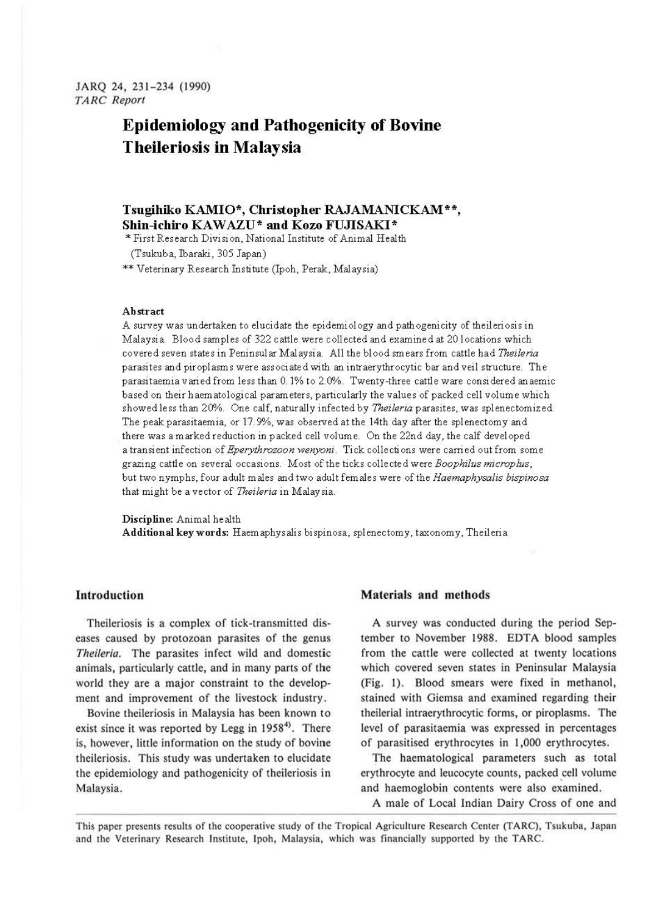# **Epidemiology and Pathogenicity of Bovine Theileriosis in Malaysia**

## **Tsugihiko KAMIO\*, Christopher RAJAMANICKAM\*\*, Shin-ichiro KAWAZU\* and Kozo FUJISAKI\***

'"First Research Division, National Institute of Animal Health

(Tsukub a, Ibaraki, 305 Japan)

\*\* Veterinary Research Institute (Ipoh, Perak, Malaysia)

#### **Abstract**

A survey was undertaken to elucidate the epidemiology and pathogenicity of theileriosis in Malaysia. Blood samples of 322 cattle were collected and examined at 20 locations which covered seven states in Peninsular Malaysia. All the blood smears from cattle had *Theileria*  parasites and piroplasms were associated with an intraerythrocytic bar and veil structure. The parasitaemia varied from less than 0. 1% to 2.0%. Twenty-three cattle ware considered anaemic based on their haematological parameters, particularly the values of packed cell volume which showed less than 20%. One calf, naturally infected by *Theileria* parasites, was splenectomized. The peak parasitaemia, or 17. 9%, was observed at the 14th day after the splenectomy and there was a marked reduction in packed cell volume. On the 22nd day, the calf developed a transient infection of *Eperythrozoon wenyoni.* Tick collections were carried out from some grazing cattle on several occasions. Most of the ticks collected were *Boophilus microplus,*  but two nymphs, four adult males and two adult females were of the *Haemaphysalis bispinosa*  that might be ave ctor of *Theileria* in Malaysia.

**Discipline:** Animal health

Additional key words: Haem aphys alis bispinosa, splenectomy, taxonomy, Theileria

## **Introduction**

Theileriosis is a complex of tick-transmitted diseases caused by protozoan parasites of the genus Theileria. The parasites infect wild and domestic animals, particularly cattle, and in many parts of the world they are a major constraint to the development and improvement of the livestock industry.

Bovine theileriosis in Malaysia has been known to exist since it was reported by Legg in 1958<sup>4)</sup>. There is, however, little information on the study of bovine theileriosis. This study was undertaken to elucidate the epidemiology and pathogenicity of theileriosis in Malaysia.

## **Materials and methods**

**A** survey was conducted during the period September to November 1988. EDTA blood samples from the cattle were collected at twenty locations which covered seven states in Peninsular Malaysia (Fig. I). Blood smears were fixed in methanol, stained with Giemsa and examined regarding their theilerial intraerythrocytic forms, or piroplasms. The level of parasitaemia was expressed in percentages of parasitised erythrocytes in 1,000 erythrocytes.

The haematological parameters such as total erythrocyte and leucocyte counts, packed cell volume and haemoglobin contents were also examined.

A male of Local Indian Dairy Cross of one and

This paper presents results of the cooperative study of the Tropical Agriculture Research Center (TARC), Tsukuba, Japan and the Veterinary Research Institute, Ipoh, Malaysia, which was financially supported by the TARC.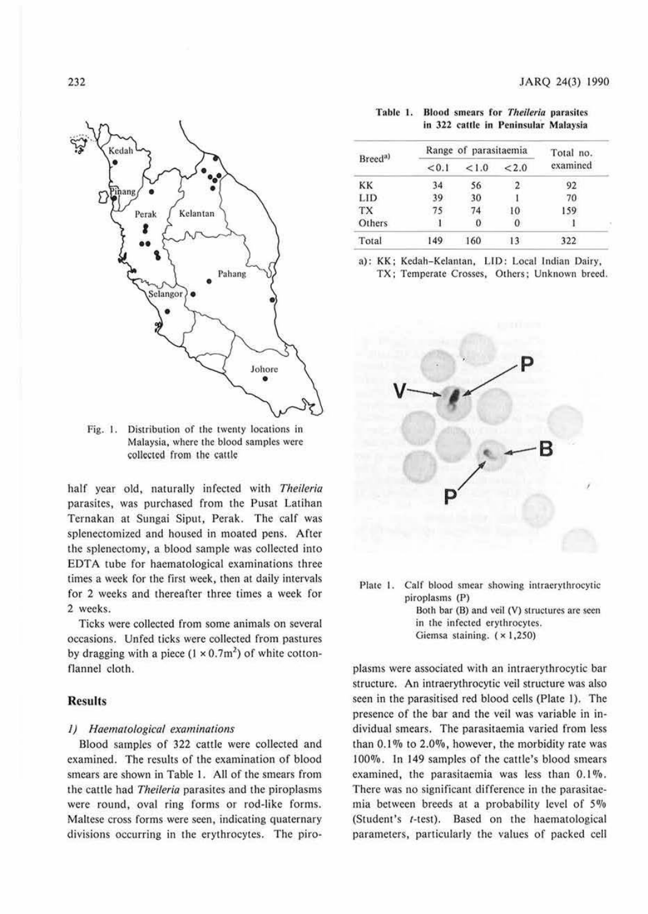

Fig. 1. Distribution of the twenty locations in Malaysia, where the blood samples were collected from the cattle

half year old, naturally infected with *Theileria* parasites, was purchased from the Pusat Latihan Ternakan at Sungai Siput, Perak. The calf was splenectomized and housed in moated pens. After the splenectomy, a blood sample was collected into EDTA tube for haematological examinations three times a week for the first week, then at daily intervals for 2 weeks and thereafter ihree times a week for 2 weeks.

Ticks were collected from some animals on several occasions. Unfed ticks were collected from pastures by dragging with a piece  $(1 \times 0.7 \text{m}^2)$  of white cottonflannel cloth.

## **Results**

#### *I) Haematological examinations*

Blood samples of 322 cattle were collected and examined. The results of the examination of blood smears are shown in Table 1. All of the smears from the cattle had *Theileria* parasites and the piroplasms were round, oval ring forms or rod-like forms. Maltese cross forms were seen, indicating quaternary divisions occurring in the erythrocytes. The piro-

| Table 1. |  |  | Blood smears for Theileria parasites |
|----------|--|--|--------------------------------------|
|          |  |  | in 322 cattle in Peninsular Malaysia |

|                      | Range of parasitaemia | Total no. |       |          |
|----------------------|-----------------------|-----------|-------|----------|
| Breed <sup>a</sup> ) | < 0.1                 | 1.0       | < 2.0 | examined |
| KK                   | 34                    | 56        | 2     | 92       |
| LID                  | 39                    | 30        |       | 70       |
| TX                   |                       | 74        | 10    | 159      |
| Others               |                       | υ         | o     |          |
| Total                | 49                    | 160       |       | 322      |

a): KK; Kcdah-Kelanian, LID: Local Indian Dairy,

TX; Temperate Crosses, Others; Unknown breed.



Plate I. Calf blood smear showing intraerythrocytic piroplasms (P) Both bar (B) and veil (V) structures are seen

in the infected erythrocytes.

Giemsa staining. ( x 1,250)

plasms were associated with an intracrythrocytic bar structure. An intraerythrocytic veil structure was also seen in the parasitised red blood cells (Plate I). The presence of the bar and the veil was variable in individual smears. The parasitacmia varied from less than 0.1 % to 2.0%, however, the morbidity rate was 100%. In 149 samples of the cattle's blood smears examined, the parasitaemia was less than  $0.1\%$ . There was no significant difference in the parasitaemia between breeds at a probability level of *5%*  (Student's t-test). Based on the haematological parameters, parlicularly the values of packed cell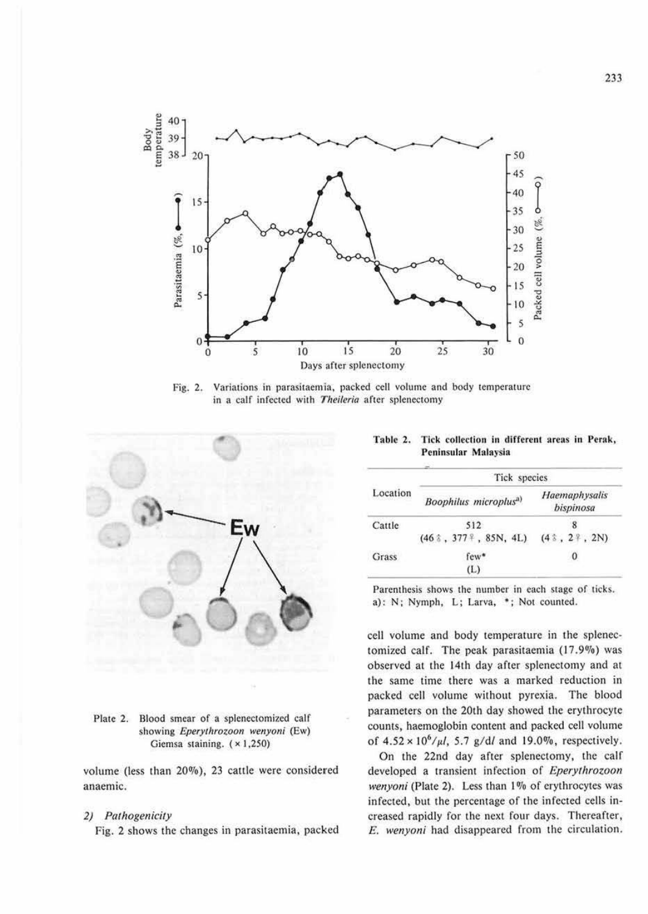

Variations in parasitaemia, packed cell volume and body temperature Fig. 2. in a calf infected with Theileria after splenectomy



#### Plate 2. Blood smear of a splenectomized calf showing Eperythrozoon wenyoni (Ew) Giemsa staining. (×1,250)

volume (less than 20%), 23 cattle were considered anaemic.

## 2) Pathogenicity

Fig. 2 shows the changes in parasitaemia, packed

Table 2. Tick collection in different areas in Perak, Peninsular Malaysia

|          | Tick species                      |                            |  |  |  |
|----------|-----------------------------------|----------------------------|--|--|--|
| Location | Boophilus microplus <sup>a)</sup> | Haemaphysalis<br>bispinosa |  |  |  |
| Cattle   | 512                               |                            |  |  |  |
|          | $(46 \t3, 377 + 85N, 4L)$         | (43, 27, 2N)               |  |  |  |
| Grass    | $few$ *                           | 0                          |  |  |  |
|          | (L)                               |                            |  |  |  |

Parenthesis shows the number in each stage of ticks. a): N; Nymph, L; Larva, \*; Not counted.

cell volume and body temperature in the splenectomized calf. The peak parasitaemia (17.9%) was observed at the 14th day after splenectomy and at the same time there was a marked reduction in packed cell volume without pyrexia. The blood parameters on the 20th day showed the erythrocyte counts, haemoglobin content and packed cell volume of  $4.52 \times 10^6/\mu l$ , 5.7 g/d/ and 19.0%, respectively.

On the 22nd day after splenectomy, the calf developed a transient infection of Eperythrozoon wenyoni (Plate 2). Less than 1% of erythrocytes was infected, but the percentage of the infected cells increased rapidly for the next four days. Thereafter, E. wenyoni had disappeared from the circulation.